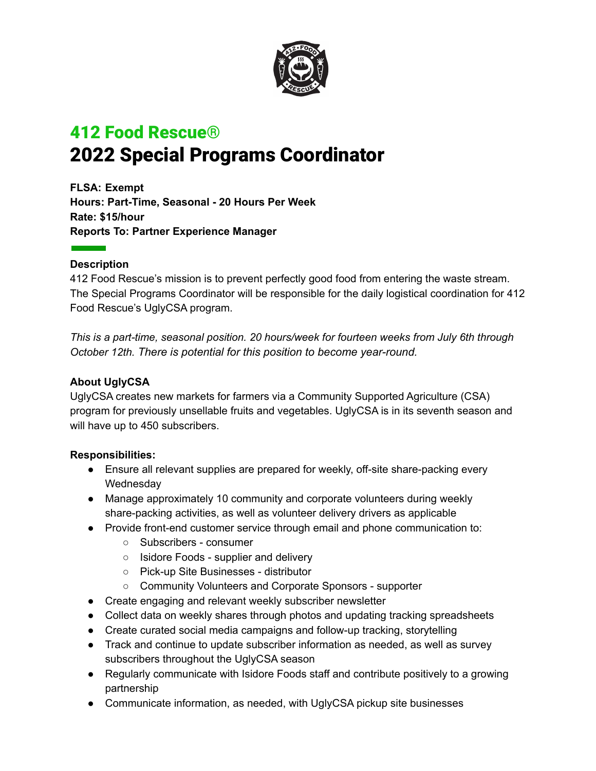

# 412 Food Rescue**®** 2022 Special Programs Coordinator

**FLSA: Exempt Hours: Part-Time, Seasonal - 20 Hours Per Week Rate: \$15/hour Reports To: Partner Experience Manager**

### **Description**

412 Food Rescue's mission is to prevent perfectly good food from entering the waste stream. The Special Programs Coordinator will be responsible for the daily logistical coordination for 412 Food Rescue's UglyCSA program.

*This is a part-time, seasonal position. 20 hours/week for fourteen weeks from July 6th through October 12th. There is potential for this position to become year-round.*

## **About UglyCSA**

UglyCSA creates new markets for farmers via a Community Supported Agriculture (CSA) program for previously unsellable fruits and vegetables. UglyCSA is in its seventh season and will have up to 450 subscribers.

#### **Responsibilities:**

- Ensure all relevant supplies are prepared for weekly, off-site share-packing every Wednesday
- Manage approximately 10 community and corporate volunteers during weekly share-packing activities, as well as volunteer delivery drivers as applicable
- Provide front-end customer service through email and phone communication to:
	- Subscribers consumer
	- Isidore Foods supplier and delivery
	- Pick-up Site Businesses distributor
	- Community Volunteers and Corporate Sponsors supporter
- Create engaging and relevant weekly subscriber newsletter
- Collect data on weekly shares through photos and updating tracking spreadsheets
- Create curated social media campaigns and follow-up tracking, storytelling
- Track and continue to update subscriber information as needed, as well as survey subscribers throughout the UglyCSA season
- Regularly communicate with Isidore Foods staff and contribute positively to a growing partnership
- Communicate information, as needed, with UglyCSA pickup site businesses